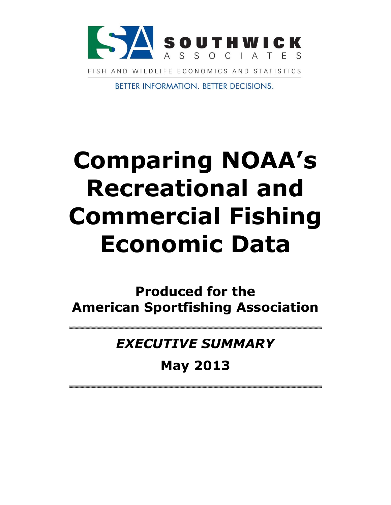

**BETTER INFORMATION. BETTER DECISIONS.** 

# **Comparing NOAA's Recreational and Commercial Fishing Economic Data**

**Produced for the American Sportfishing Association**

*EXECUTIVE SUMMARY* 

**May 2013**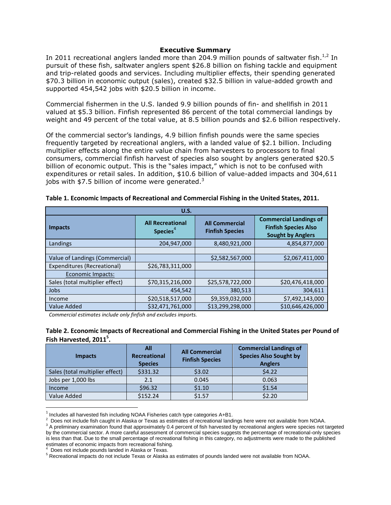## **Executive Summary**

In 2011 recreational anglers landed more than 204.9 million pounds of saltwater fish. $^{1,2}$  In pursuit of these fish, saltwater anglers spent \$26.8 billion on fishing tackle and equipment and trip-related goods and services. Including multiplier effects, their spending generated \$70.3 billion in economic output (sales), created \$32.5 billion in value-added growth and supported 454,542 jobs with \$20.5 billion in income.

Commercial fishermen in the U.S. landed 9.9 billion pounds of fin- and shellfish in 2011 valued at \$5.3 billion. Finfish represented 86 percent of the total commercial landings by weight and 49 percent of the total value, at 8.5 billion pounds and \$2.6 billion respectively.

Of the commercial sector's landings, 4.9 billion finfish pounds were the same species frequently targeted by recreational anglers, with a landed value of \$2.1 billion. Including multiplier effects along the entire value chain from harvesters to processors to final consumers, commercial finfish harvest of species also sought by anglers generated \$20.5 billion of economic output. This is the "sales impact," which is not to be confused with expenditures or retail sales. In addition, \$10.6 billion of value-added impacts and 304,611 jobs with  $$7.5$  billion of income were generated.<sup>3</sup>

| U.S.                            |                                                 |                                                 |                                                                                          |  |
|---------------------------------|-------------------------------------------------|-------------------------------------------------|------------------------------------------------------------------------------------------|--|
| <b>Impacts</b>                  | <b>All Recreational</b><br>Species <sup>4</sup> | <b>All Commercial</b><br><b>Finfish Species</b> | <b>Commercial Landings of</b><br><b>Finfish Species Also</b><br><b>Sought by Anglers</b> |  |
| Landings                        | 204,947,000                                     | 8,480,921,000                                   | 4,854,877,000                                                                            |  |
|                                 |                                                 |                                                 |                                                                                          |  |
| Value of Landings (Commercial)  |                                                 | \$2,582,567,000                                 | \$2,067,411,000                                                                          |  |
| Expenditures (Recreational)     | \$26,783,311,000                                |                                                 |                                                                                          |  |
| Economic Impacts:               |                                                 |                                                 |                                                                                          |  |
| Sales (total multiplier effect) | \$70,315,216,000                                | \$25,578,722,000                                | \$20,476,418,000                                                                         |  |
| Jobs                            | 454,542                                         | 380,513                                         | 304,611                                                                                  |  |
| Income                          | \$20,518,517,000                                | \$9,359,032,000                                 | \$7,492,143,000                                                                          |  |
| Value Added                     | \$32,471,761,000                                | \$13,299,298,000                                | \$10.646.426.000                                                                         |  |

#### **Table 1. Economic Impacts of Recreational and Commercial Fishing in the United States, 2011.**

*Commercial estimates include only finfish and excludes imports.*

## **Table 2. Economic Impacts of Recreational and Commercial Fishing in the United States per Pound of Fish Harvested, 2011<sup>5</sup> .**

| <b>Impacts</b>                  | All<br><b>Recreational</b><br><b>Species</b> | <b>All Commercial</b><br><b>Finfish Species</b> | <b>Commercial Landings of</b><br><b>Species Also Sought by</b><br><b>Anglers</b> |
|---------------------------------|----------------------------------------------|-------------------------------------------------|----------------------------------------------------------------------------------|
| Sales (total multiplier effect) | \$331.32                                     | \$3.02                                          | 54.22                                                                            |
| Jobs per 1,000 lbs              | 2.1                                          | 0.045                                           | 0.063                                                                            |
| Income                          | \$96.32                                      | \$1.10                                          | \$1.54                                                                           |
| Value Added                     | \$152.24                                     | \$1.57                                          | \$2.20                                                                           |

 $<sup>1</sup>$  Includes all harvested fish including NOAA Fisheries catch type categories A+B1.</sup>

4 Does not include pounds landed in Alaska or Texas.

l

 $^2$  Does not include fish caught in Alaska or Texas as estimates of recreational landings here were not available from NOAA.

 $3$  A preliminary examination found that approximately 0.4 percent of fish harvested by recreational anglers were species not targeted by the commercial sector. A more careful assessment of commercial species suggests the percentage of recreational-only species is less than that. Due to the small percentage of recreational fishing in this category, no adjustments were made to the published estimates of economic impacts from recreational fishing.

<sup>&</sup>lt;sup>5</sup> Recreational impacts do not include Texas or Alaska as estimates of pounds landed were not available from NOAA.